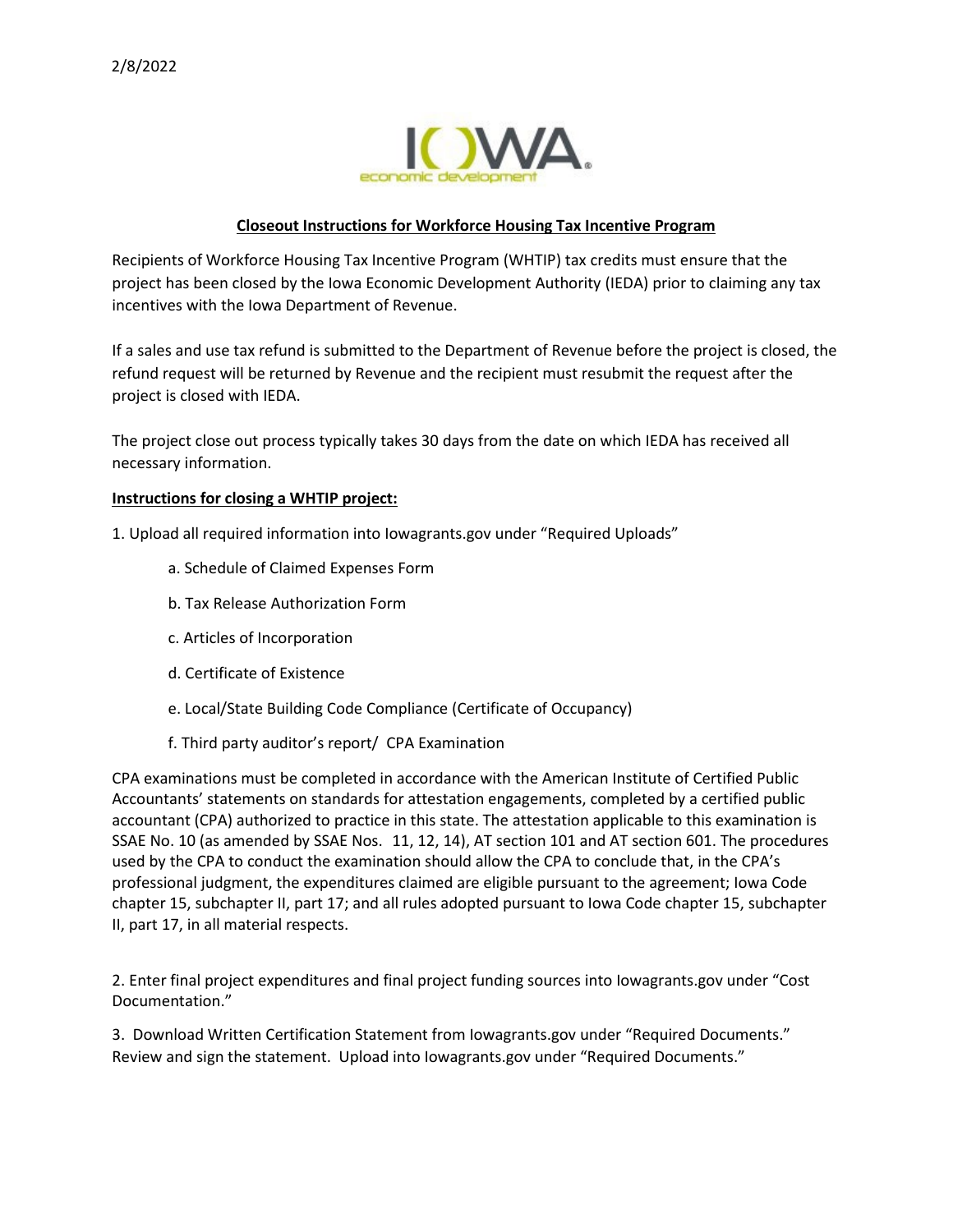

## **Closeout Instructions for Workforce Housing Tax Incentive Program**

Recipients of Workforce Housing Tax Incentive Program (WHTIP) tax credits must ensure that the project has been closed by the Iowa Economic Development Authority (IEDA) prior to claiming any tax incentives with the Iowa Department of Revenue.

If a sales and use tax refund is submitted to the Department of Revenue before the project is closed, the refund request will be returned by Revenue and the recipient must resubmit the request after the project is closed with IEDA.

The project close out process typically takes 30 days from the date on which IEDA has received all necessary information.

## **Instructions for closing a WHTIP project:**

- 1. Upload all required information into Iowagrants.gov under "Required Uploads"
	- a. Schedule of Claimed Expenses Form
	- b. Tax Release Authorization Form
	- c. Articles of Incorporation
	- d. Certificate of Existence
	- e. Local/State Building Code Compliance (Certificate of Occupancy)
	- f. Third party auditor's report/ CPA Examination

CPA examinations must be completed in accordance with the American Institute of Certified Public Accountants' statements on standards for attestation engagements, completed by a certified public accountant (CPA) authorized to practice in this state. The attestation applicable to this examination is SSAE No. 10 (as amended by SSAE Nos. 11, 12, 14), AT section 101 and AT section 601. The procedures used by the CPA to conduct the examination should allow the CPA to conclude that, in the CPA's professional judgment, the expenditures claimed are eligible pursuant to the agreement; Iowa Code chapter [15,](https://www.legis.iowa.gov/docs/ico/chapter/15.pdf) subchapter II, part 17; and all rules adopted pursuant to Iowa Code chapter [15,](https://www.legis.iowa.gov/docs/ico/chapter/15.pdf) subchapter II, part 17, in all material respects.

2. Enter final project expenditures and final project funding sources into Iowagrants.gov under "Cost Documentation."

3. Download Written Certification Statement from Iowagrants.gov under "Required Documents." Review and sign the statement. Upload into Iowagrants.gov under "Required Documents."